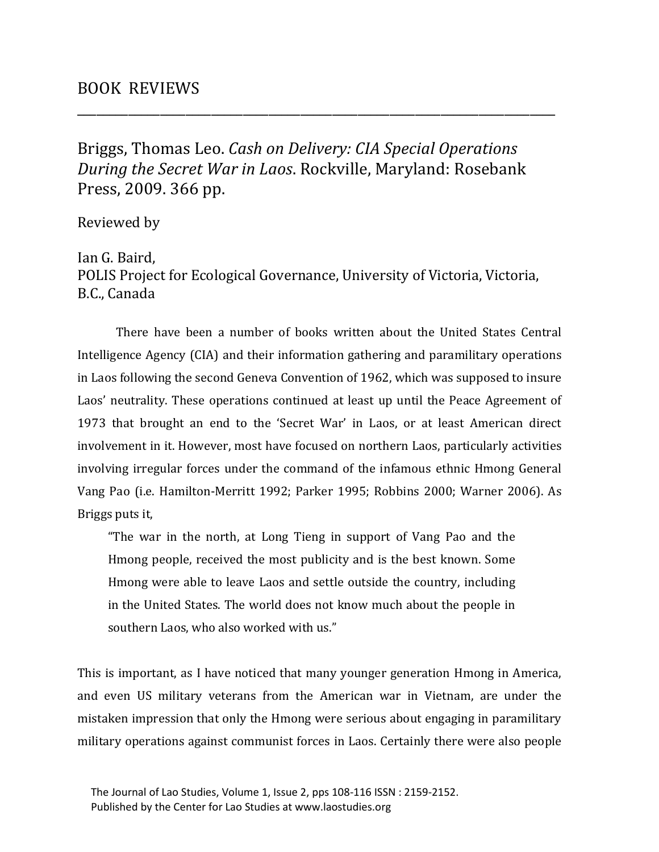Briggs, Thomas Leo. *Cash on Delivery: CIA Special Operations During the Secret War in Laos*. Rockville, Maryland: Rosebank Press, 2009. 366 pp.

\_\_\_\_\_\_\_\_\_\_\_\_\_\_\_\_\_\_\_\_\_\_\_\_\_\_\_\_\_\_\_\_\_\_\_\_\_\_\_\_\_\_\_\_\_\_\_\_\_\_\_\_\_\_\_\_\_\_\_\_\_\_\_\_\_\_\_\_\_\_\_\_\_\_\_

Reviewed by

Ian G. Baird, POLIS Project for Ecological Governance, University of Victoria, Victoria, B.C., Canada

There have been a number of books written about the United States Central Intelligence Agency (CIA) and their information gathering and paramilitary operations in Laos following the second Geneva Convention of 1962, which was supposed to insure Laos' neutrality. These operations continued at least up until the Peace Agreement of 1973 that brought an end to the 'Secret War' in Laos, or at least American direct involvement in it. However, most have focused on northern Laos, particularly activities involving irregular forces under the command of the infamous ethnic Hmong General Vang Pao (i.e. Hamilton-Merritt 1992; Parker 1995; Robbins 2000; Warner 2006). As Briggs puts it,

"The war in the north, at Long Tieng in support of Vang Pao and the Hmong people, received the most publicity and is the best known. Some Hmong were able to leave Laos and settle outside the country, including in the United States. The world does not know much about the people in southern Laos, who also worked with us."

This is important, as I have noticed that many younger generation Hmong in America, and even US military veterans from the American war in Vietnam, are under the mistaken impression that only the Hmong were serious about engaging in paramilitary military operations against communist forces in Laos. Certainly there were also people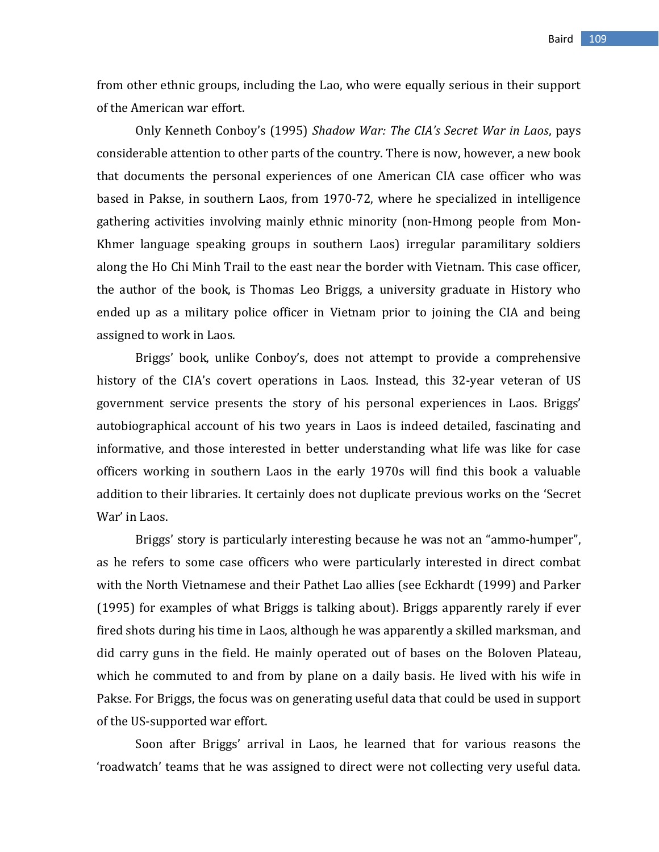from other ethnic groups, including the Lao, who were equally serious in their support of the American war effort.

Only Kenneth Conboy's (1995) *Shadow War: The CIA's Secret War in Laos*, pays considerable attention to other parts of the country. There is now, however, a new book that documents the personal experiences of one American CIA case officer who was based in Pakse, in southern Laos, from 1970-72, where he specialized in intelligence gathering activities involving mainly ethnic minority (non-Hmong people from Mon-Khmer language speaking groups in southern Laos) irregular paramilitary soldiers along the Ho Chi Minh Trail to the east near the border with Vietnam. This case officer, the author of the book, is Thomas Leo Briggs, a university graduate in History who ended up as a military police officer in Vietnam prior to joining the CIA and being assigned to work in Laos.

Briggs' book, unlike Conboy's, does not attempt to provide a comprehensive history of the CIA's covert operations in Laos. Instead, this 32-year veteran of US government service presents the story of his personal experiences in Laos. Briggs' autobiographical account of his two years in Laos is indeed detailed, fascinating and informative, and those interested in better understanding what life was like for case officers working in southern Laos in the early 1970s will find this book a valuable addition to their libraries. It certainly does not duplicate previous works on the 'Secret War' in Laos.

Briggs' story is particularly interesting because he was not an "ammo-humper", as he refers to some case officers who were particularly interested in direct combat with the North Vietnamese and their Pathet Lao allies (see Eckhardt (1999) and Parker (1995) for examples of what Briggs is talking about). Briggs apparently rarely if ever fired shots during his time in Laos, although he was apparently a skilled marksman, and did carry guns in the field. He mainly operated out of bases on the Boloven Plateau, which he commuted to and from by plane on a daily basis. He lived with his wife in Pakse. For Briggs, the focus was on generating useful data that could be used in support of the US-supported war effort.

Soon after Briggs' arrival in Laos, he learned that for various reasons the 'roadwatch' teams that he was assigned to direct were not collecting very useful data.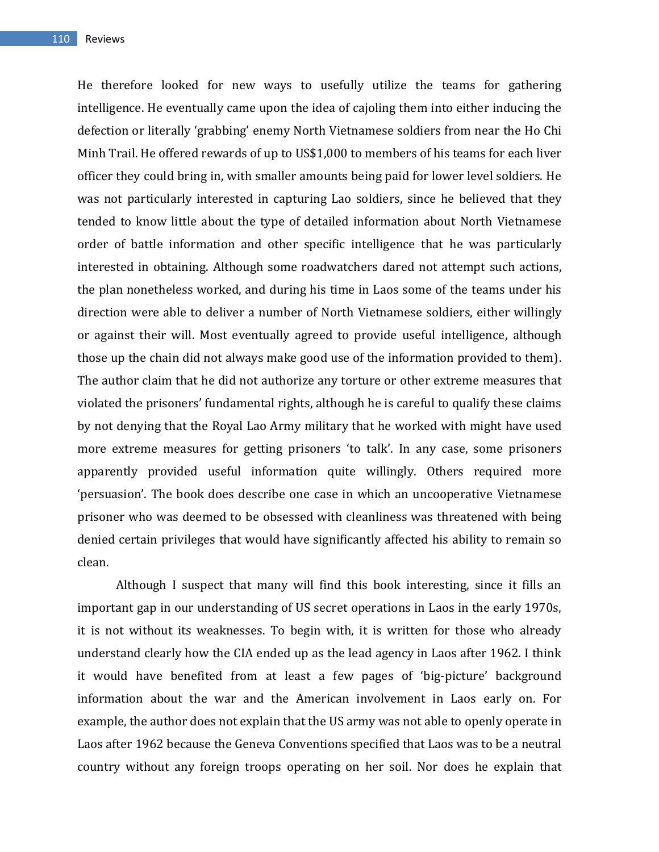He therefore looked for new ways to usefully utilize the teams for gathering intelligence. He eventually came upon the idea of cajoling them into either inducing the defection or literally 'grabbing' enemy North Vietnamese soldiers from near the Ho Chi Minh Trail. He offered rewards of up to US\$1,000 to members of his teams for each liver officer they could bring in, with smaller amounts being paid for lower level soldiers. He was not particularly interested in capturing Lao soldiers, since he believed that they tended to know little about the type of detailed information about North Vietnamese order of battle information and other specific intelligence that he was particularly interested in obtaining. Although some roadwatchers dared not attempt such actions, the plan nonetheless worked, and during his time in Laos some of the teams under his direction were able to deliver a number of North Vietnamese soldiers, either willingly or against their will. Most eventually agreed to provide useful intelligence, although those up the chain did not always make good use of the information provided to them). The author claim that he did not authorize any torture or other extreme measures that violated the prisoners' fundamental rights, although he is careful to qualify these claims by not denying that the Royal Lao Army military that he worked with might have used more extreme measures for getting prisoners 'to talk'. In any case, some prisoners apparently provided useful information quite willingly. Others required more 'persuasion'. The book does describe one case in which an uncooperative Vietnamese prisoner who was deemed to be obsessed with cleanliness was threatened with being denied certain privileges that would have significantly affected his ability to remain so clean.

Although I suspect that many will find this book interesting, since it fills an important gap in our understanding of US secret operations in Laos in the early 1970s, it is not without its weaknesses. To begin with, it is written for those who already understand clearly how the CIA ended up as the lead agency in Laos after 1962. I think it would have benefited from at least a few pages of 'big-picture' background information about the war and the American involvement in Laos early on. For example, the author does not explain that the US army was not able to openly operate in Laos after 1962 because the Geneva Conventions specified that Laos was to be a neutral country without any foreign troops operating on her soil. Nor does he explain that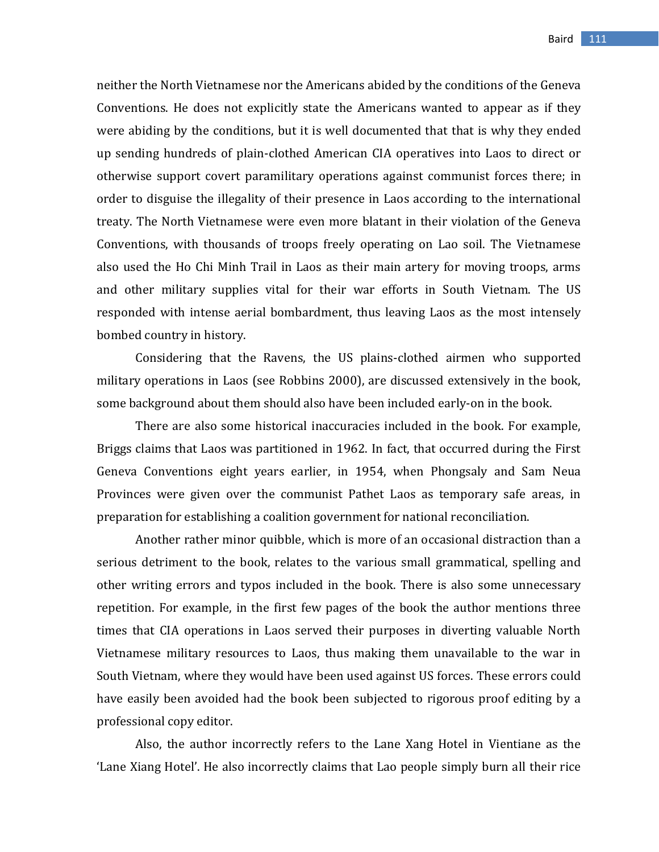neither the North Vietnamese nor the Americans abided by the conditions of the Geneva Conventions. He does not explicitly state the Americans wanted to appear as if they were abiding by the conditions, but it is well documented that that is why they ended up sending hundreds of plain-clothed American CIA operatives into Laos to direct or otherwise support covert paramilitary operations against communist forces there; in order to disguise the illegality of their presence in Laos according to the international treaty. The North Vietnamese were even more blatant in their violation of the Geneva Conventions, with thousands of troops freely operating on Lao soil. The Vietnamese also used the Ho Chi Minh Trail in Laos as their main artery for moving troops, arms and other military supplies vital for their war efforts in South Vietnam. The US responded with intense aerial bombardment, thus leaving Laos as the most intensely bombed country in history.

Considering that the Ravens, the US plains-clothed airmen who supported military operations in Laos (see Robbins 2000), are discussed extensively in the book, some background about them should also have been included early-on in the book.

There are also some historical inaccuracies included in the book. For example, Briggs claims that Laos was partitioned in 1962. In fact, that occurred during the First Geneva Conventions eight years earlier, in 1954, when Phongsaly and Sam Neua Provinces were given over the communist Pathet Laos as temporary safe areas, in preparation for establishing a coalition government for national reconciliation.

Another rather minor quibble, which is more of an occasional distraction than a serious detriment to the book, relates to the various small grammatical, spelling and other writing errors and typos included in the book. There is also some unnecessary repetition. For example, in the first few pages of the book the author mentions three times that CIA operations in Laos served their purposes in diverting valuable North Vietnamese military resources to Laos, thus making them unavailable to the war in South Vietnam, where they would have been used against US forces. These errors could have easily been avoided had the book been subjected to rigorous proof editing by a professional copy editor.

Also, the author incorrectly refers to the Lane Xang Hotel in Vientiane as the 'Lane Xiang Hotel'. He also incorrectly claims that Lao people simply burn all their rice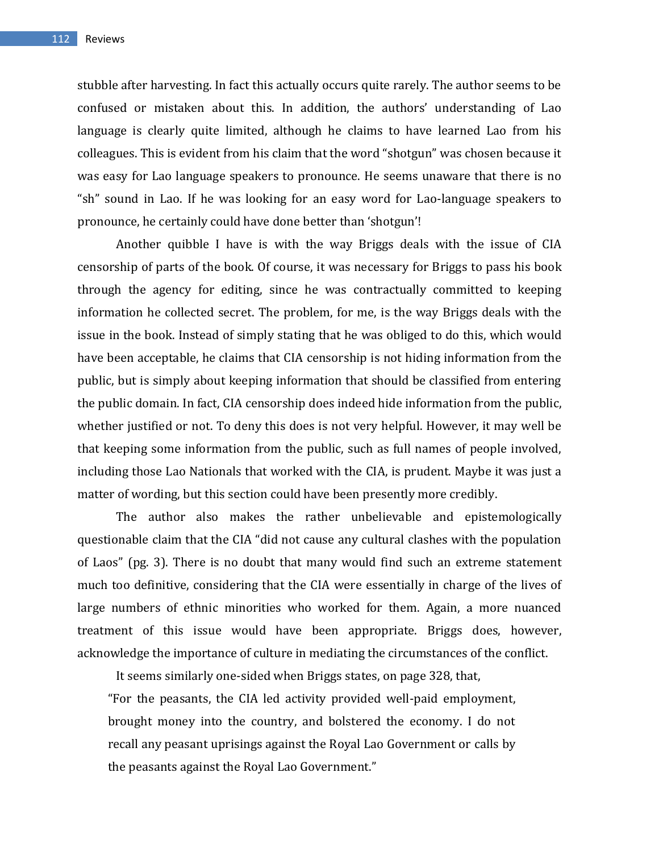stubble after harvesting. In fact this actually occurs quite rarely. The author seems to be confused or mistaken about this. In addition, the authors' understanding of Lao language is clearly quite limited, although he claims to have learned Lao from his colleagues. This is evident from his claim that the word "shotgun" was chosen because it was easy for Lao language speakers to pronounce. He seems unaware that there is no "sh" sound in Lao. If he was looking for an easy word for Lao-language speakers to pronounce, he certainly could have done better than 'shotgun'!

Another quibble I have is with the way Briggs deals with the issue of CIA censorship of parts of the book. Of course, it was necessary for Briggs to pass his book through the agency for editing, since he was contractually committed to keeping information he collected secret. The problem, for me, is the way Briggs deals with the issue in the book. Instead of simply stating that he was obliged to do this, which would have been acceptable, he claims that CIA censorship is not hiding information from the public, but is simply about keeping information that should be classified from entering the public domain. In fact, CIA censorship does indeed hide information from the public, whether justified or not. To deny this does is not very helpful. However, it may well be that keeping some information from the public, such as full names of people involved, including those Lao Nationals that worked with the CIA, is prudent. Maybe it was just a matter of wording, but this section could have been presently more credibly.

The author also makes the rather unbelievable and epistemologically questionable claim that the CIA "did not cause any cultural clashes with the population of Laos" (pg. 3). There is no doubt that many would find such an extreme statement much too definitive, considering that the CIA were essentially in charge of the lives of large numbers of ethnic minorities who worked for them. Again, a more nuanced treatment of this issue would have been appropriate. Briggs does, however, acknowledge the importance of culture in mediating the circumstances of the conflict.

It seems similarly one-sided when Briggs states, on page 328, that,

"For the peasants, the CIA led activity provided well-paid employment, brought money into the country, and bolstered the economy. I do not recall any peasant uprisings against the Royal Lao Government or calls by the peasants against the Royal Lao Government."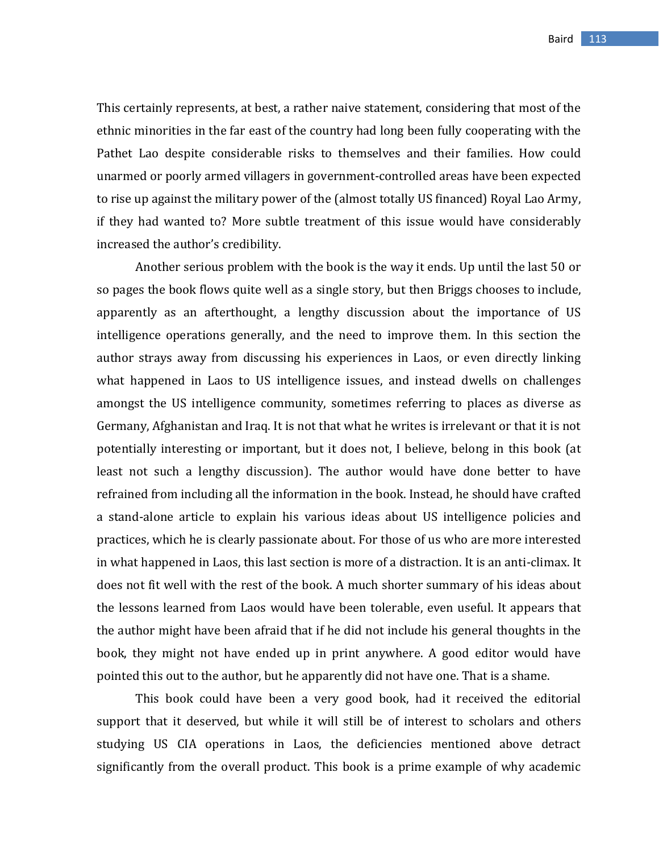This certainly represents, at best, a rather naive statement, considering that most of the ethnic minorities in the far east of the country had long been fully cooperating with the Pathet Lao despite considerable risks to themselves and their families. How could unarmed or poorly armed villagers in government-controlled areas have been expected to rise up against the military power of the (almost totally US financed) Royal Lao Army, if they had wanted to? More subtle treatment of this issue would have considerably increased the author's credibility.

Another serious problem with the book is the way it ends. Up until the last 50 or so pages the book flows quite well as a single story, but then Briggs chooses to include, apparently as an afterthought, a lengthy discussion about the importance of US intelligence operations generally, and the need to improve them. In this section the author strays away from discussing his experiences in Laos, or even directly linking what happened in Laos to US intelligence issues, and instead dwells on challenges amongst the US intelligence community, sometimes referring to places as diverse as Germany, Afghanistan and Iraq. It is not that what he writes is irrelevant or that it is not potentially interesting or important, but it does not, I believe, belong in this book (at least not such a lengthy discussion). The author would have done better to have refrained from including all the information in the book. Instead, he should have crafted a stand-alone article to explain his various ideas about US intelligence policies and practices, which he is clearly passionate about. For those of us who are more interested in what happened in Laos, this last section is more of a distraction. It is an anti-climax. It does not fit well with the rest of the book. A much shorter summary of his ideas about the lessons learned from Laos would have been tolerable, even useful. It appears that the author might have been afraid that if he did not include his general thoughts in the book, they might not have ended up in print anywhere. A good editor would have pointed this out to the author, but he apparently did not have one. That is a shame.

This book could have been a very good book, had it received the editorial support that it deserved, but while it will still be of interest to scholars and others studying US CIA operations in Laos, the deficiencies mentioned above detract significantly from the overall product. This book is a prime example of why academic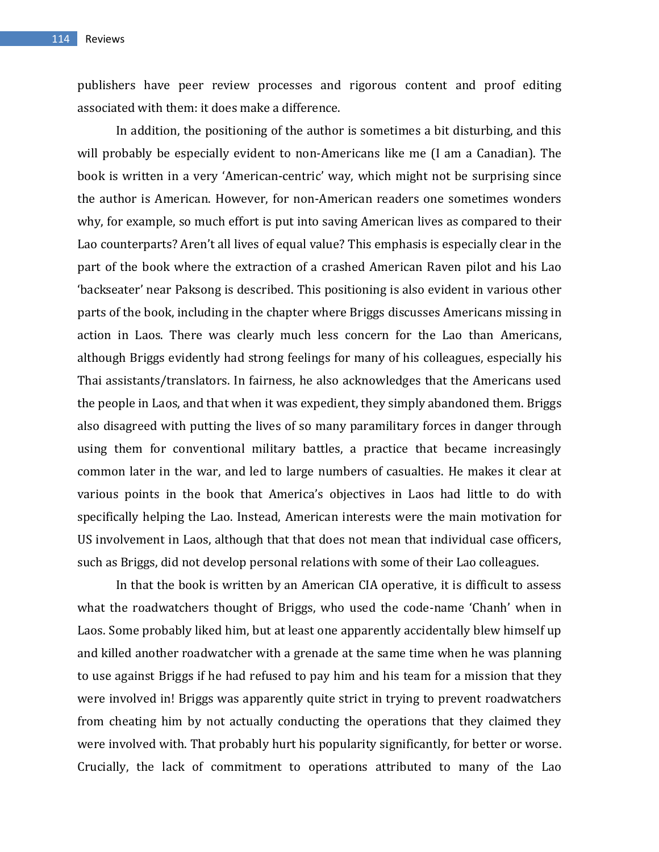publishers have peer review processes and rigorous content and proof editing associated with them: it does make a difference.

In addition, the positioning of the author is sometimes a bit disturbing, and this will probably be especially evident to non-Americans like me (I am a Canadian). The book is written in a very 'American-centric' way, which might not be surprising since the author is American. However, for non-American readers one sometimes wonders why, for example, so much effort is put into saving American lives as compared to their Lao counterparts? Aren't all lives of equal value? This emphasis is especially clear in the part of the book where the extraction of a crashed American Raven pilot and his Lao 'backseater' near Paksong is described. This positioning is also evident in various other parts of the book, including in the chapter where Briggs discusses Americans missing in action in Laos. There was clearly much less concern for the Lao than Americans, although Briggs evidently had strong feelings for many of his colleagues, especially his Thai assistants/translators. In fairness, he also acknowledges that the Americans used the people in Laos, and that when it was expedient, they simply abandoned them. Briggs also disagreed with putting the lives of so many paramilitary forces in danger through using them for conventional military battles, a practice that became increasingly common later in the war, and led to large numbers of casualties. He makes it clear at various points in the book that America's objectives in Laos had little to do with specifically helping the Lao. Instead, American interests were the main motivation for US involvement in Laos, although that that does not mean that individual case officers, such as Briggs, did not develop personal relations with some of their Lao colleagues.

In that the book is written by an American CIA operative, it is difficult to assess what the roadwatchers thought of Briggs, who used the code-name 'Chanh' when in Laos. Some probably liked him, but at least one apparently accidentally blew himself up and killed another roadwatcher with a grenade at the same time when he was planning to use against Briggs if he had refused to pay him and his team for a mission that they were involved in! Briggs was apparently quite strict in trying to prevent roadwatchers from cheating him by not actually conducting the operations that they claimed they were involved with. That probably hurt his popularity significantly, for better or worse. Crucially, the lack of commitment to operations attributed to many of the Lao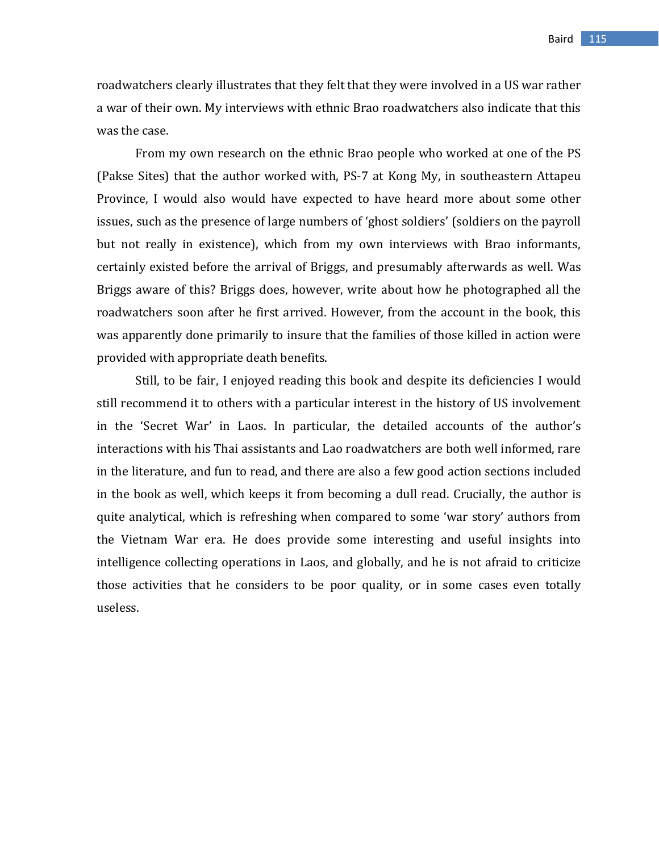roadwatchers clearly illustrates that they felt that they were involved in a US war rather a war of their own. My interviews with ethnic Brao roadwatchers also indicate that this was the case.

From my own research on the ethnic Brao people who worked at one of the PS (Pakse Sites) that the author worked with, PS-7 at Kong My, in southeastern Attapeu Province, I would also would have expected to have heard more about some other issues, such as the presence of large numbers of 'ghost soldiers' (soldiers on the payroll but not really in existence), which from my own interviews with Brao informants, certainly existed before the arrival of Briggs, and presumably afterwards as well. Was Briggs aware of this? Briggs does, however, write about how he photographed all the roadwatchers soon after he first arrived. However, from the account in the book, this was apparently done primarily to insure that the families of those killed in action were provided with appropriate death benefits.

Still, to be fair, I enjoyed reading this book and despite its deficiencies I would still recommend it to others with a particular interest in the history of US involvement in the 'Secret War' in Laos. In particular, the detailed accounts of the author's interactions with his Thai assistants and Lao roadwatchers are both well informed, rare in the literature, and fun to read, and there are also a few good action sections included in the book as well, which keeps it from becoming a dull read. Crucially, the author is quite analytical, which is refreshing when compared to some 'war story' authors from the Vietnam War era. He does provide some interesting and useful insights into intelligence collecting operations in Laos, and globally, and he is not afraid to criticize those activities that he considers to be poor quality, or in some cases even totally useless.